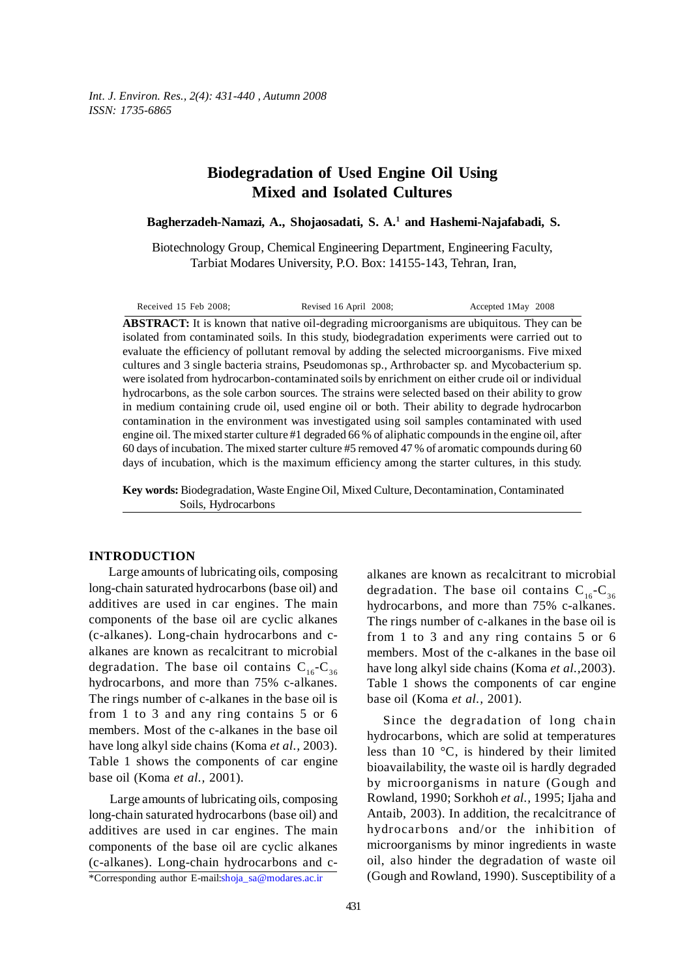# **Biodegradation of Used Engine Oil Using Mixed and Isolated Cultures**

**Bagherzadeh-Namazi, A., Shojaosadati, S. A.1 and Hashemi-Najafabadi, S.**

Biotechnology Group, Chemical Engineering Department, Engineering Faculty, Tarbiat Modares University, P.O. Box: 14155-143, Tehran, Iran,

Received 15 Feb 2008; Revised 16 April 2008; Accepted 1May 2008

**ABSTRACT:** It is known that native oil-degrading microorganisms are ubiquitous. They can be isolated from contaminated soils. In this study, biodegradation experiments were carried out to evaluate the efficiency of pollutant removal by adding the selected microorganisms. Five mixed cultures and 3 single bacteria strains, Pseudomonas sp., Arthrobacter sp. and Mycobacterium sp. were isolated from hydrocarbon-contaminated soils by enrichment on either crude oil or individual hydrocarbons, as the sole carbon sources. The strains were selected based on their ability to grow in medium containing crude oil, used engine oil or both. Their ability to degrade hydrocarbon contamination in the environment was investigated using soil samples contaminated with used engine oil. The mixed starter culture #1 degraded 66 % of aliphatic compounds in the engine oil, after 60 days of incubation. The mixed starter culture #5 removed 47 % of aromatic compounds during 60 days of incubation, which is the maximum efficiency among the starter cultures, in this study.

**Key words:** Biodegradation, Waste Engine Oil, Mixed Culture, Decontamination, Contaminated Soils, Hydrocarbons

#### **INTRODUCTION**

Large amounts of lubricating oils, composing long-chain saturated hydrocarbons (base oil) and additives are used in car engines. The main components of the base oil are cyclic alkanes (c-alkanes). Long-chain hydrocarbons and calkanes are known as recalcitrant to microbial degradation. The base oil contains  $C_{16}-C_{36}$ hydrocarbons, and more than 75% c-alkanes. The rings number of c-alkanes in the base oil is from 1 to 3 and any ring contains 5 or 6 members. Most of the c-alkanes in the base oil have long alkyl side chains (Koma *et al.,* 2003). Table 1 shows the components of car engine base oil (Koma *et al.,* 2001).

Large amounts of lubricating oils, composing long-chain saturated hydrocarbons (base oil) and additives are used in car engines. The main components of the base oil are cyclic alkanes (c-alkanes). Long-chain hydrocarbons and c-

\*Corresponding author E-mail:shoja\_sa@modares.ac.ir

alkanes are known as recalcitrant to microbial degradation. The base oil contains  $C_{16}-C_{36}$ hydrocarbons, and more than 75% c-alkanes. The rings number of c-alkanes in the base oil is from 1 to 3 and any ring contains 5 or 6 members. Most of the c-alkanes in the base oil have long alkyl side chains (Koma *et al.,*2003). Table 1 shows the components of car engine base oil (Koma *et al.,* 2001).

Since the degradation of long chain hydrocarbons, which are solid at temperatures less than 10 °C, is hindered by their limited bioavailability, the waste oil is hardly degraded by microorganisms in nature (Gough and Rowland, 1990; Sorkhoh *et al.,* 1995; Ijaha and Antaib, 2003). In addition, the recalcitrance of hydrocarbons and/or the inhibition of microorganisms by minor ingredients in waste oil, also hinder the degradation of waste oil (Gough and Rowland, 1990). Susceptibility of a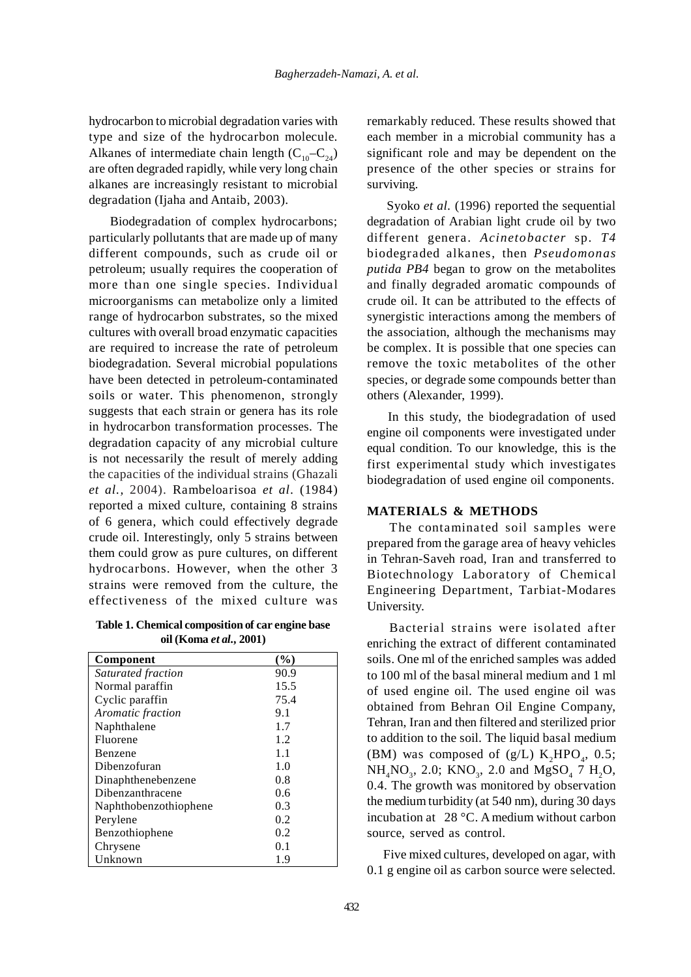hydrocarbon to microbial degradation varies with type and size of the hydrocarbon molecule. Alkanes of intermediate chain length  $(C_{10}-C_{24})$ are often degraded rapidly, while very long chain alkanes are increasingly resistant to microbial degradation (Ijaha and Antaib, 2003).

 Biodegradation of complex hydrocarbons; particularly pollutants that are made up of many different compounds, such as crude oil or petroleum; usually requires the cooperation of more than one single species. Individual microorganisms can metabolize only a limited range of hydrocarbon substrates, so the mixed cultures with overall broad enzymatic capacities are required to increase the rate of petroleum biodegradation. Several microbial populations have been detected in petroleum-contaminated soils or water. This phenomenon, strongly suggests that each strain or genera has its role in hydrocarbon transformation processes. The degradation capacity of any microbial culture is not necessarily the result of merely adding the capacities of the individual strains (Ghazali *et al.,* 2004). Rambeloarisoa *et al.* (1984) reported a mixed culture, containing 8 strains of 6 genera, which could effectively degrade crude oil. Interestingly, only 5 strains between them could grow as pure cultures, on different hydrocarbons. However, when the other 3 strains were removed from the culture, the effectiveness of the mixed culture was

**Table 1. Chemical composition of car engine base oil (Koma** *et al.,* **2001)**

| Component             | (%)  |
|-----------------------|------|
| Saturated fraction    | 90.9 |
| Normal paraffin       | 15.5 |
| Cyclic paraffin       | 75.4 |
| Aromatic fraction     | 9.1  |
| Naphthalene           | 1.7  |
| Fluorene              | 1.2  |
| Benzene               | 1.1  |
| Dibenzofuran          | 1.0  |
| Dinaphthenebenzene    | 0.8  |
| Dibenzanthracene      | 0.6  |
| Naphthobenzothiophene | 0.3  |
| Perylene              | 0.2  |
| Benzothiophene        | 0.2  |
| Chrysene              | 0.1  |
| Unknown               | 1.9  |

remarkably reduced. These results showed that each member in a microbial community has a significant role and may be dependent on the presence of the other species or strains for surviving.

Syoko *et al.* (1996) reported the sequential degradation of Arabian light crude oil by two different genera. *Acinetobacter* sp. *T4* biodegraded alkanes, then *Pseudomonas putida PB4* began to grow on the metabolites and finally degraded aromatic compounds of crude oil. It can be attributed to the effects of synergistic interactions among the members of the association, although the mechanisms may be complex. It is possible that one species can remove the toxic metabolites of the other species, or degrade some compounds better than others (Alexander, 1999).

In this study, the biodegradation of used engine oil components were investigated under equal condition. To our knowledge, this is the first experimental study which investigates biodegradation of used engine oil components.

#### **MATERIALS & METHODS**

 The contaminated soil samples were prepared from the garage area of heavy vehicles in Tehran-Saveh road, Iran and transferred to Biotechnology Laboratory of Chemical Engineering Department, Tarbiat-Modares University.

 Bacterial strains were isolated after enriching the extract of different contaminated soils. One ml of the enriched samples was added to 100 ml of the basal mineral medium and 1 ml of used engine oil. The used engine oil was obtained from Behran Oil Engine Company, Tehran, Iran and then filtered and sterilized prior to addition to the soil. The liquid basal medium (BM) was composed of  $(g/L)$  K<sub>2</sub>HPO<sub>4</sub>, 0.5;  $NH_4NO_3$ , 2.0; KNO<sub>3</sub>, 2.0 and MgSO<sub>4</sub> 7 H<sub>2</sub>O<sub>2</sub> 0.4. The growth was monitored by observation the medium turbidity (at 540 nm), during 30 days incubation at 28 °C. A medium without carbon source, served as control.

Five mixed cultures, developed on agar, with 0.1 g engine oil as carbon source were selected.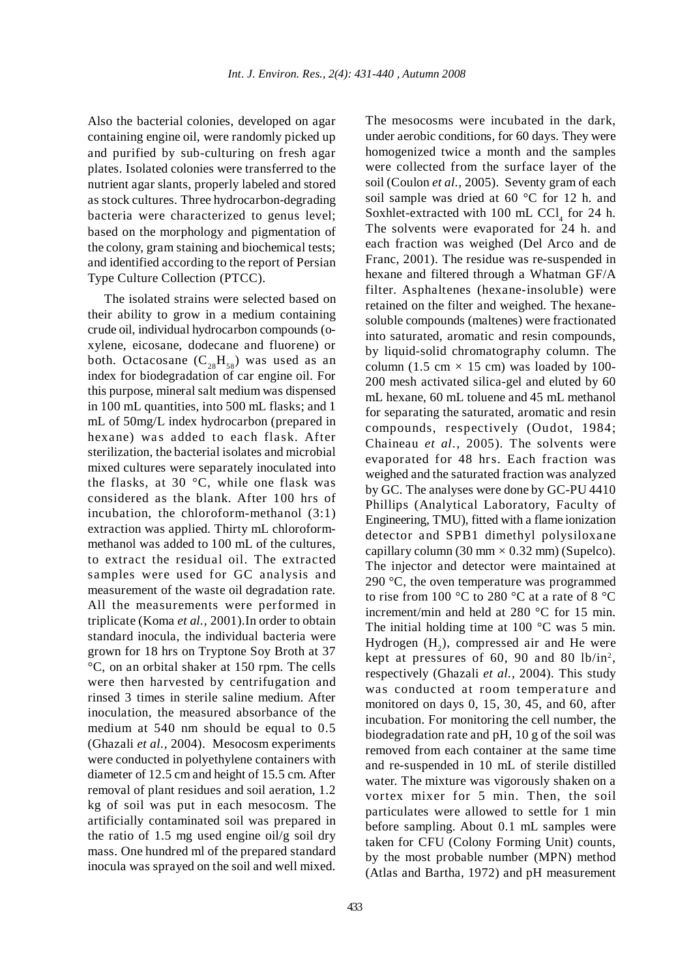Also the bacterial colonies, developed on agar containing engine oil, were randomly picked up and purified by sub-culturing on fresh agar plates. Isolated colonies were transferred to the nutrient agar slants, properly labeled and stored as stock cultures. Three hydrocarbon-degrading bacteria were characterized to genus level; based on the morphology and pigmentation of the colony, gram staining and biochemical tests; and identified according to the report of Persian Type Culture Collection (PTCC).

The isolated strains were selected based on their ability to grow in a medium containing crude oil, individual hydrocarbon compounds (oxylene, eicosane, dodecane and fluorene) or both. Octacosane  $(C_{28}H_{58})$  was used as an index for biodegradation of car engine oil. For this purpose, mineral salt medium was dispensed in 100 mL quantities, into 500 mL flasks; and 1 mL of 50mg/L index hydrocarbon (prepared in hexane) was added to each flask. After sterilization, the bacterial isolates and microbial mixed cultures were separately inoculated into the flasks, at 30 $\degree$ C, while one flask was considered as the blank. After 100 hrs of incubation, the chloroform-methanol (3:1) extraction was applied. Thirty mL chloroformmethanol was added to 100 mL of the cultures, to extract the residual oil. The extracted samples were used for GC analysis and measurement of the waste oil degradation rate. All the measurements were performed in triplicate (Koma *et al.,* 2001).In order to obtain standard inocula, the individual bacteria were grown for 18 hrs on Tryptone Soy Broth at 37 °C, on an orbital shaker at 150 rpm. The cells were then harvested by centrifugation and rinsed 3 times in sterile saline medium. After inoculation, the measured absorbance of the medium at 540 nm should be equal to 0.5 (Ghazali *et al.,* 2004). Mesocosm experiments were conducted in polyethylene containers with diameter of 12.5 cm and height of 15.5 cm. After removal of plant residues and soil aeration, 1.2 kg of soil was put in each mesocosm. The artificially contaminated soil was prepared in the ratio of 1.5 mg used engine oil/g soil dry mass. One hundred ml of the prepared standard inocula was sprayed on the soil and well mixed.

under aerobic conditions, for 60 days. They were homogenized twice a month and the samples were collected from the surface layer of the soil (Coulon *et al.,* 2005). Seventy gram of each soil sample was dried at 60 °C for 12 h. and Soxhlet-extracted with 100 mL CCl, for 24 h. The solvents were evaporated for 24 h. and each fraction was weighed (Del Arco and de Franc, 2001). The residue was re-suspended in hexane and filtered through a Whatman GF/A filter. Asphaltenes (hexane-insoluble) were retained on the filter and weighed. The hexanesoluble compounds (maltenes) were fractionated into saturated, aromatic and resin compounds, by liquid-solid chromatography column. The column (1.5 cm  $\times$  15 cm) was loaded by 100-200 mesh activated silica-gel and eluted by 60 mL hexane, 60 mL toluene and 45 mL methanol for separating the saturated, aromatic and resin compounds, respectively (Oudot, 1984; Chaineau *et al.,* 2005). The solvents were evaporated for 48 hrs. Each fraction was weighed and the saturated fraction was analyzed by GC. The analyses were done by GC-PU 4410 Phillips (Analytical Laboratory, Faculty of Engineering, TMU), fitted with a flame ionization detector and SPB1 dimethyl polysiloxane capillary column (30 mm *×* 0.32 mm) (Supelco). The injector and detector were maintained at 290 °C, the oven temperature was programmed to rise from 100 °C to 280 °C at a rate of 8 °C increment/min and held at 280 °C for 15 min. The initial holding time at 100  $^{\circ}$ C was 5 min. Hydrogen  $(H_2)$ , compressed air and He were kept at pressures of 60, 90 and 80 lb/in<sup>2</sup>, respectively (Ghazali *et al.,* 2004). This study was conducted at room temperature and monitored on days 0, 15, 30, 45, and 60, after incubation. For monitoring the cell number, the biodegradation rate and pH, 10 g of the soil was removed from each container at the same time and re-suspended in 10 mL of sterile distilled water. The mixture was vigorously shaken on a vortex mixer for 5 min. Then, the soil particulates were allowed to settle for 1 min before sampling. About 0.1 mL samples were taken for CFU (Colony Forming Unit) counts, by the most probable number (MPN) method (Atlas and Bartha, 1972) and pH measurement

The mesocosms were incubated in the dark,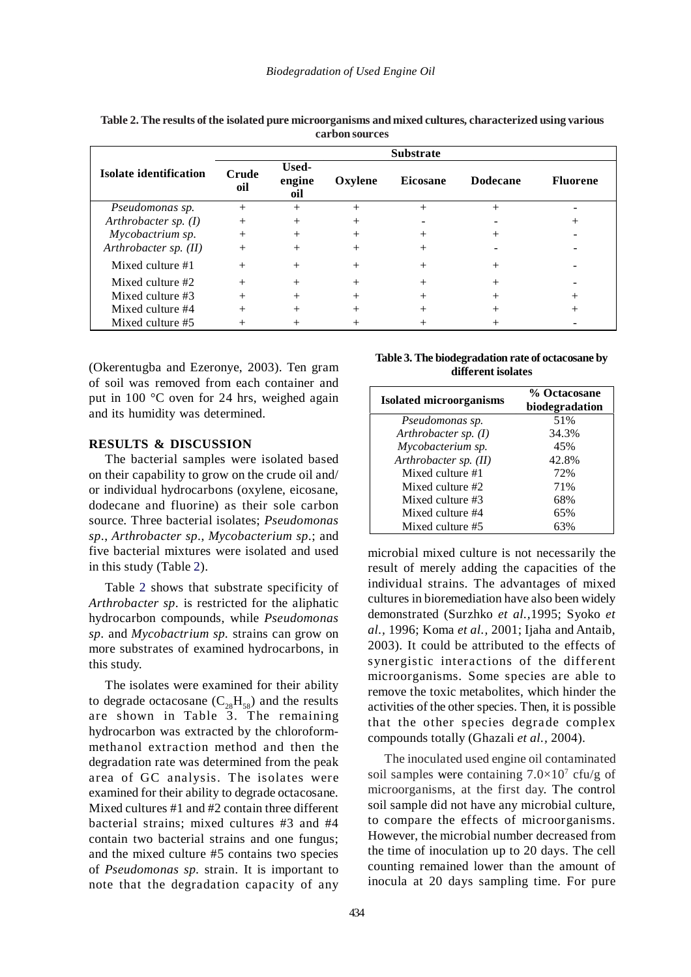|                         | <b>Substrate</b> |                        |         |                 |                 |                 |
|-------------------------|------------------|------------------------|---------|-----------------|-----------------|-----------------|
| Isolate identification  | Crude<br>oil     | Used-<br>engine<br>oil | Oxylene | <b>Eicosane</b> | <b>Dodecane</b> | <b>Fluorene</b> |
| Pseudomonas sp.         |                  | $^{+}$                 |         | $^{+}$          |                 |                 |
| Arthrobacter sp. $(I)$  | $^{+}$           | $^{+}$                 |         |                 |                 |                 |
| Mycobactrium sp.        |                  |                        |         |                 |                 |                 |
| Arthrobacter sp. $(II)$ | $^{+}$           | $^{+}$                 |         |                 |                 |                 |
| Mixed culture #1        |                  |                        |         |                 |                 |                 |
| Mixed culture #2        | $^{+}$           | $^{+}$                 |         |                 |                 |                 |
| Mixed culture #3        |                  | $^{+}$                 |         |                 |                 |                 |
| Mixed culture #4        |                  |                        |         |                 |                 |                 |
| Mixed culture #5        |                  |                        |         |                 |                 |                 |

**Table 2. The results of the isolated pure microorganisms and mixed cultures, characterized using various carbon sources**

(Okerentugba and Ezeronye, 2003). Ten gram of soil was removed from each container and put in 100 °C oven for 24 hrs, weighed again and its humidity was determined.

## **RESULTS & DISCUSSION**

The bacterial samples were isolated based on their capability to grow on the crude oil and/ or individual hydrocarbons (oxylene, eicosane, dodecane and fluorine) as their sole carbon source. Three bacterial isolates; *Pseudomonas sp*., *Arthrobacter sp*., *Mycobacterium sp*.; and five bacterial mixtures were isolated and used in this study (Table 2).

Table 2 shows that substrate specificity of *Arthrobacter sp*. is restricted for the aliphatic hydrocarbon compounds, while *Pseudomonas sp.* and *Mycobactrium sp.* strains can grow on more substrates of examined hydrocarbons, in this study.

The isolates were examined for their ability to degrade octacosane  $(C_{28}H_{58})$  and the results are shown in Table 3. The remaining hydrocarbon was extracted by the chloroformmethanol extraction method and then the degradation rate was determined from the peak area of GC analysis. The isolates were examined for their ability to degrade octacosane. Mixed cultures #1 and #2 contain three different bacterial strains; mixed cultures #3 and #4 contain two bacterial strains and one fungus; and the mixed culture #5 contains two species of *Pseudomonas sp.* strain. It is important to note that the degradation capacity of any

**Table 3. The biodegradation rate of octacosane by different isolates**

| <b>Isolated microorganisms</b> | % Octacosane<br>biodegradation |  |  |
|--------------------------------|--------------------------------|--|--|
| Pseudomonas sp.                | 51%                            |  |  |
| Arthrobacter sp. (I)           | 34.3%                          |  |  |
| Mycobacterium sp.              | 45%                            |  |  |
| Arthrobacter sp. $(II)$        | 42.8%                          |  |  |
| Mixed culture #1               | 72%                            |  |  |
| Mixed culture #2               | 71%                            |  |  |
| Mixed culture #3               | 68%                            |  |  |
| Mixed culture #4               | 65%                            |  |  |
| Mixed culture #5               |                                |  |  |

microbial mixed culture is not necessarily the result of merely adding the capacities of the individual strains. The advantages of mixed cultures in bioremediation have also been widely demonstrated (Surzhko *et al.,*1995; Syoko *et al.,* 1996; Koma *et al.,* 2001; Ijaha and Antaib, 2003). It could be attributed to the effects of synergistic interactions of the different microorganisms. Some species are able to remove the toxic metabolites, which hinder the activities of the other species. Then, it is possible that the other species degrade complex compounds totally (Ghazali *et al.,* 2004).

The inoculated used engine oil contaminated soil samples were containing  $7.0 \times 10^7$  cfu/g of microorganisms, at the first day. The control soil sample did not have any microbial culture, to compare the effects of microorganisms. However, the microbial number decreased from the time of inoculation up to 20 days. The cell counting remained lower than the amount of inocula at 20 days sampling time. For pure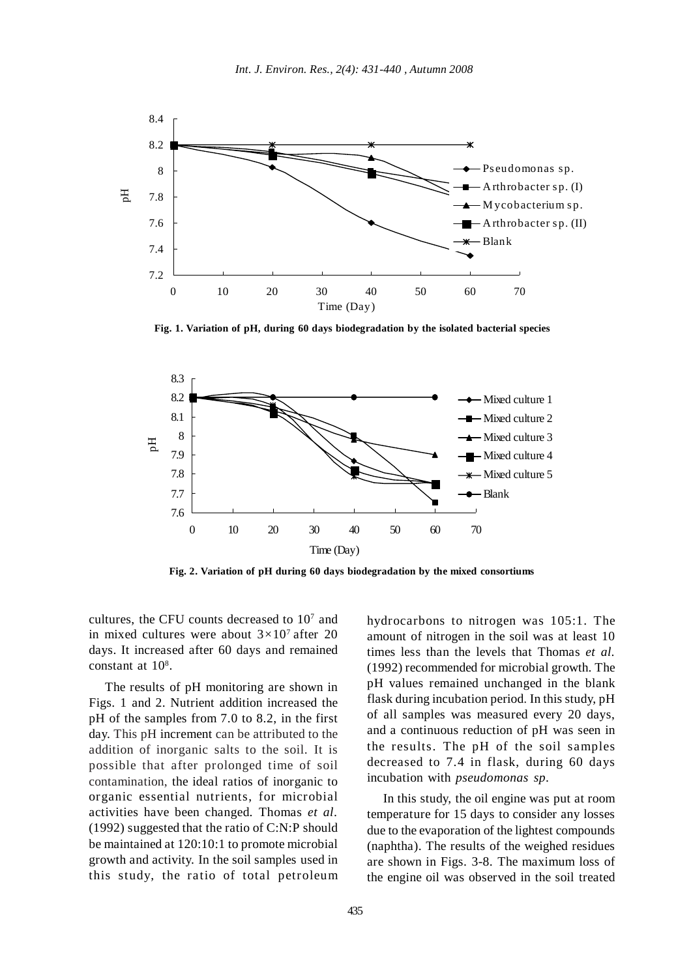

**Fig. 1. Variation of pH, during 60 days biodegradation by the isolated bacterial species**



**Fig. 2. Variation of pH during 60 days biodegradation by the mixed consortiums**

cultures, the CFU counts decreased to 107 and in mixed cultures were about 3*×*107 after 20 days. It increased after 60 days and remained constant at  $10^8$ .

The results of pH monitoring are shown in Figs. 1 and 2. Nutrient addition increased the pH of the samples from 7.0 to 8.2, in the first day. This pH increment can be attributed to the addition of inorganic salts to the soil. It is possible that after prolonged time of soil contamination, the ideal ratios of inorganic to organic essential nutrients, for microbial activities have been changed. Thomas *et al.* (1992) suggested that the ratio of C:N:P should be maintained at 120:10:1 to promote microbial growth and activity. In the soil samples used in this study, the ratio of total petroleum hydrocarbons to nitrogen was 105:1. The amount of nitrogen in the soil was at least 10 times less than the levels that Thomas *et al.* (1992) recommended for microbial growth. The pH values remained unchanged in the blank flask during incubation period. In this study, pH of all samples was measured every 20 days, and a continuous reduction of pH was seen in the results. The pH of the soil samples decreased to 7.4 in flask, during 60 days incubation with *pseudomonas sp*.

In this study, the oil engine was put at room temperature for 15 days to consider any losses due to the evaporation of the lightest compounds (naphtha). The results of the weighed residues are shown in Figs. 3-8. The maximum loss of the engine oil was observed in the soil treated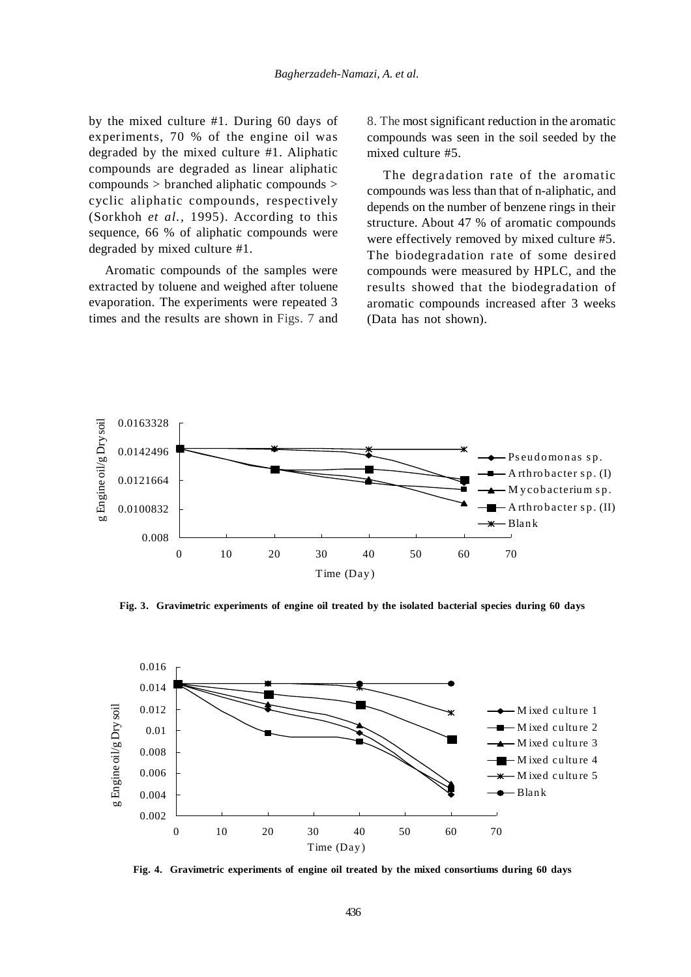by the mixed culture #1. During 60 days of experiments, 70 % of the engine oil was degraded by the mixed culture #1. Aliphatic compounds are degraded as linear aliphatic compounds > branched aliphatic compounds > cyclic aliphatic compounds, respectively (Sorkhoh *et al.,* 1995). According to this sequence, 66 % of aliphatic compounds were degraded by mixed culture #1.

Aromatic compounds of the samples were extracted by toluene and weighed after toluene evaporation. The experiments were repeated 3 times and the results are shown in Figs. 7 and 8. The most significant reduction in the aromatic compounds was seen in the soil seeded by the mixed culture #5.

The degradation rate of the aromatic compounds was less than that of n-aliphatic, and depends on the number of benzene rings in their structure. About 47 % of aromatic compounds were effectively removed by mixed culture #5. The biodegradation rate of some desired compounds were measured by HPLC, and the results showed that the biodegradation of aromatic compounds increased after 3 weeks (Data has not shown).



**Fig. 3. Gravimetric experiments of engine oil treated by the isolated bacterial species during 60 days**



**Fig. 4. Gravimetric experiments of engine oil treated by the mixed consortiums during 60 days**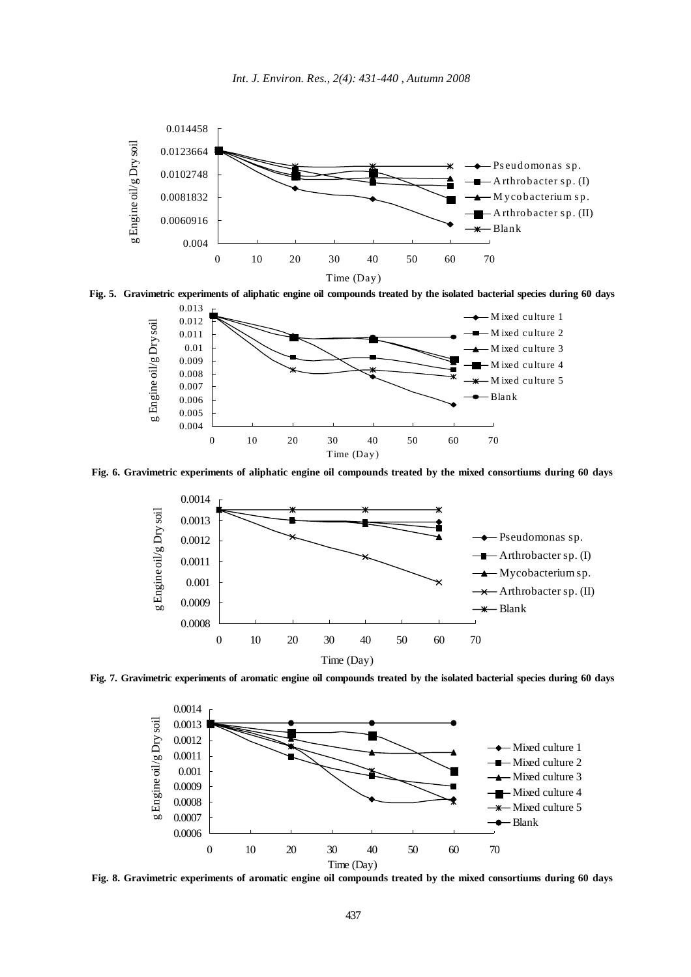



**Fig. 5. Gravimetric experiments of aliphatic engine oil compounds treated by the isolated bacterial species during 60 days**



**Fig. 6. Gravimetric experiments of aliphatic engine oil compounds treated by the mixed consortiums during 60 days**



**Fig. 7. Gravimetric experiments of aromatic engine oil compounds treated by the isolated bacterial species during 60 days**



**Fig. 8. Gravimetric experiments of aromatic engine oil compounds treated by the mixed consortiums during 60 days**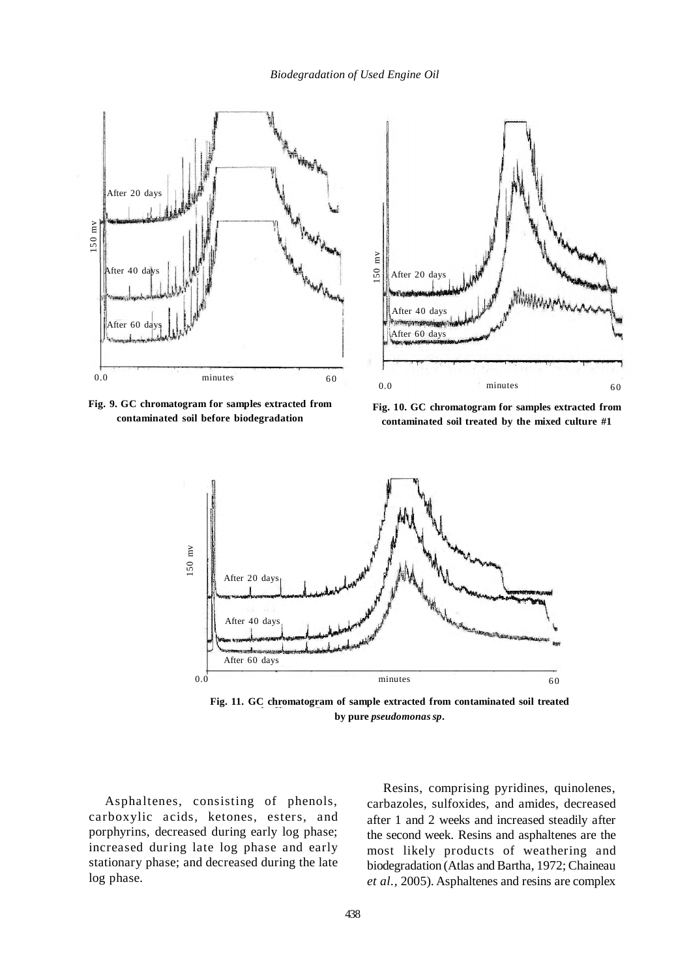

**Fig. 9. GC chromatogram for samples extracted from contaminated soil before biodegradation**



**Fig. 10. GC chromatogram for samples extracted from contaminated soil treated by the mixed culture #1**



**Fig. 11. GC chromatogram of sample extracted from contaminated soil treated by pure** *pseudomonassp***.**

Asphaltenes, consisting of phenols, carboxylic acids, ketones, esters, and porphyrins, decreased during early log phase; increased during late log phase and early stationary phase; and decreased during the late log phase.

Resins, comprising pyridines, quinolenes, carbazoles, sulfoxides, and amides, decreased after 1 and 2 weeks and increased steadily after the second week. Resins and asphaltenes are the most likely products of weathering and biodegradation (Atlas and Bartha, 1972; Chaineau *et al.,* 2005). Asphaltenes and resins are complex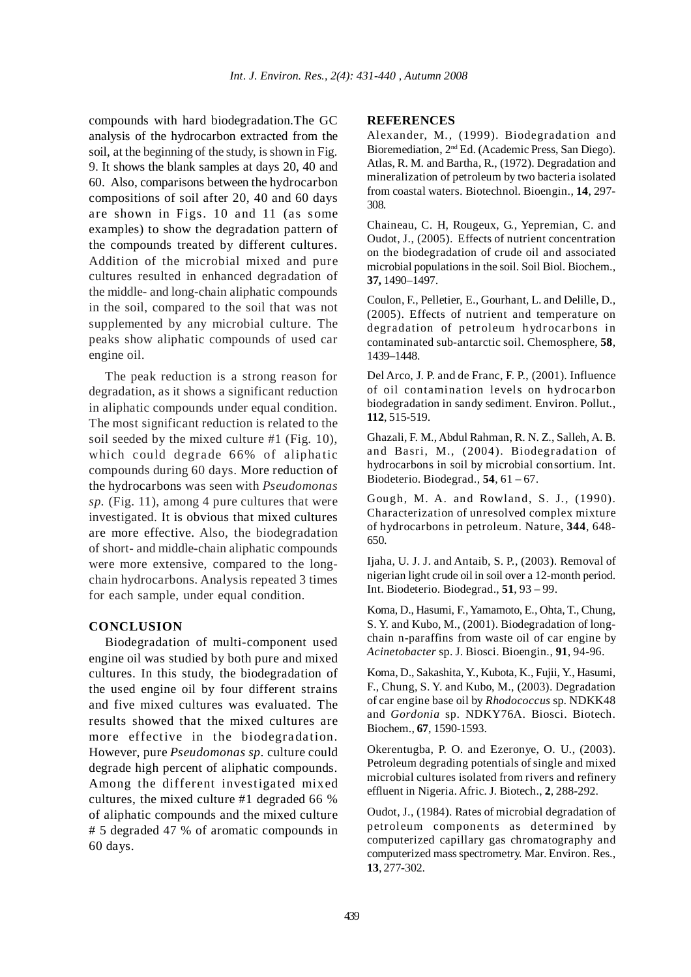compounds with hard biodegradation.The GC analysis of the hydrocarbon extracted from the soil, at the beginning of the study, is shown in Fig. 9. It shows the blank samples at days 20, 40 and 60. Also, comparisons between the hydrocarbon compositions of soil after 20, 40 and 60 days are shown in Figs. 10 and 11 (as some examples) to show the degradation pattern of the compounds treated by different cultures. Addition of the microbial mixed and pure cultures resulted in enhanced degradation of the middle- and long-chain aliphatic compounds in the soil, compared to the soil that was not supplemented by any microbial culture. The peaks show aliphatic compounds of used car engine oil.

The peak reduction is a strong reason for degradation, as it shows a significant reduction in aliphatic compounds under equal condition. The most significant reduction is related to the soil seeded by the mixed culture #1 (Fig. 10), which could degrade 66% of aliphatic compounds during 60 days. More reduction of the hydrocarbons was seen with *Pseudomonas sp.* (Fig. 11), among 4 pure cultures that were investigated. It is obvious that mixed cultures are more effective. Also, the biodegradation of short- and middle-chain aliphatic compounds were more extensive, compared to the longchain hydrocarbons. Analysis repeated 3 times for each sample, under equal condition.

## **CONCLUSION**

Biodegradation of multi-component used engine oil was studied by both pure and mixed cultures. In this study, the biodegradation of the used engine oil by four different strains and five mixed cultures was evaluated. The results showed that the mixed cultures are more effective in the biodegradation. However, pure *Pseudomonas sp.* culture could degrade high percent of aliphatic compounds. Among the different investigated mixed cultures, the mixed culture #1 degraded 66 % of aliphatic compounds and the mixed culture # 5 degraded 47 % of aromatic compounds in 60 days.

## **REFERENCES**

Alexander, M., (1999). Biodegradation and Bioremediation, 2nd Ed. (Academic Press, San Diego). Atlas, R. M. and Bartha, R., (1972). Degradation and mineralization of petroleum by two bacteria isolated from coastal waters. Biotechnol. Bioengin., **14**, 297- 308.

Chaineau, C. H, Rougeux, G., Yepremian, C. and Oudot, J., (2005). Effects of nutrient concentration on the biodegradation of crude oil and associated microbial populations in the soil. Soil Biol. Biochem., **37,** 1490–1497.

Coulon, F., Pelletier, E., Gourhant, L. and Delille, D., (2005). Effects of nutrient and temperature on degradation of petroleum hydrocarbons in contaminated sub-antarctic soil. Chemosphere, **58**, 1439–1448.

Del Arco, J. P. and de Franc, F. P., (2001). Influence of oil contamination levels on hydrocarbon biodegradation in sandy sediment. Environ. Pollut., **112**, 515-519.

Ghazali, F. M., Abdul Rahman, R. N. Z., Salleh, A. B. and Basri, M., (2004). Biodegradation of hydrocarbons in soil by microbial consortium. Int. Biodeterio. Biodegrad., **54**, 61 – 67.

Gough, M. A. and Rowland, S. J., (1990). Characterization of unresolved complex mixture of hydrocarbons in petroleum. Nature, **344**, 648- 650.

Ijaha, U. J. J. and Antaib, S. P., (2003). Removal of nigerian light crude oil in soil over a 12-month period. Int. Biodeterio. Biodegrad., **51**, 93 – 99.

Koma, D., Hasumi, F., Yamamoto, E., Ohta, T., Chung, S. Y. and Kubo, M., (2001). Biodegradation of longchain n-paraffins from waste oil of car engine by *Acinetobacter* sp. J. Biosci. Bioengin., **91**, 94-96.

Koma, D., Sakashita, Y., Kubota, K., Fujii, Y., Hasumi, F., Chung, S. Y. and Kubo, M., (2003). Degradation of car engine base oil by *Rhodococcus* sp. NDKK48 and *Gordonia* sp. NDKY76A. Biosci. Biotech. Biochem., **67**, 1590-1593.

Okerentugba, P. O. and Ezeronye, O. U., (2003). Petroleum degrading potentials of single and mixed microbial cultures isolated from rivers and refinery effluent in Nigeria. Afric. J. Biotech., **2**, 288-292.

Oudot, J., (1984). Rates of microbial degradation of petroleum components as determined by computerized capillary gas chromatography and computerized mass spectrometry. Mar. Environ. Res., **13**, 277-302.